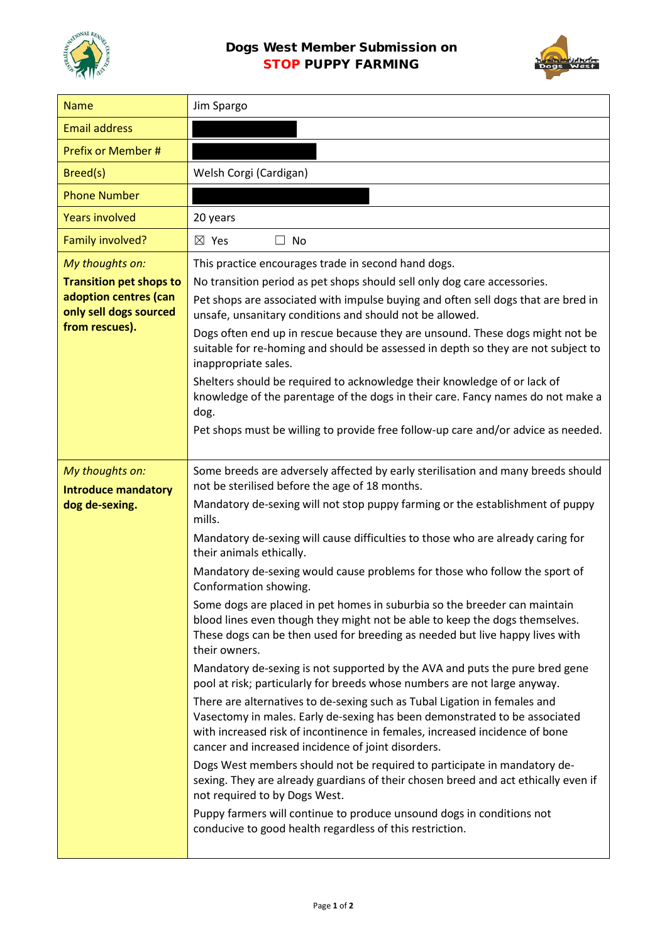



| <b>Name</b>                                                                                                            | Jim Spargo                                                                                                                                                                                                                                                                                                                                                                                                                                                                                                                                                                                                                                                                                                                                                                                                                                                                                                                                                                                                                                                                                                                                                                                                                                                                                                                                                                                                                                                                                                           |
|------------------------------------------------------------------------------------------------------------------------|----------------------------------------------------------------------------------------------------------------------------------------------------------------------------------------------------------------------------------------------------------------------------------------------------------------------------------------------------------------------------------------------------------------------------------------------------------------------------------------------------------------------------------------------------------------------------------------------------------------------------------------------------------------------------------------------------------------------------------------------------------------------------------------------------------------------------------------------------------------------------------------------------------------------------------------------------------------------------------------------------------------------------------------------------------------------------------------------------------------------------------------------------------------------------------------------------------------------------------------------------------------------------------------------------------------------------------------------------------------------------------------------------------------------------------------------------------------------------------------------------------------------|
| <b>Email address</b>                                                                                                   |                                                                                                                                                                                                                                                                                                                                                                                                                                                                                                                                                                                                                                                                                                                                                                                                                                                                                                                                                                                                                                                                                                                                                                                                                                                                                                                                                                                                                                                                                                                      |
| Prefix or Member #                                                                                                     |                                                                                                                                                                                                                                                                                                                                                                                                                                                                                                                                                                                                                                                                                                                                                                                                                                                                                                                                                                                                                                                                                                                                                                                                                                                                                                                                                                                                                                                                                                                      |
| Breed(s)                                                                                                               | Welsh Corgi (Cardigan)                                                                                                                                                                                                                                                                                                                                                                                                                                                                                                                                                                                                                                                                                                                                                                                                                                                                                                                                                                                                                                                                                                                                                                                                                                                                                                                                                                                                                                                                                               |
| <b>Phone Number</b>                                                                                                    |                                                                                                                                                                                                                                                                                                                                                                                                                                                                                                                                                                                                                                                                                                                                                                                                                                                                                                                                                                                                                                                                                                                                                                                                                                                                                                                                                                                                                                                                                                                      |
| <b>Years involved</b>                                                                                                  | 20 years                                                                                                                                                                                                                                                                                                                                                                                                                                                                                                                                                                                                                                                                                                                                                                                                                                                                                                                                                                                                                                                                                                                                                                                                                                                                                                                                                                                                                                                                                                             |
| Family involved?                                                                                                       | $\boxtimes$ Yes<br>$\Box$ No                                                                                                                                                                                                                                                                                                                                                                                                                                                                                                                                                                                                                                                                                                                                                                                                                                                                                                                                                                                                                                                                                                                                                                                                                                                                                                                                                                                                                                                                                         |
| My thoughts on:<br><b>Transition pet shops to</b><br>adoption centres (can<br>only sell dogs sourced<br>from rescues). | This practice encourages trade in second hand dogs.<br>No transition period as pet shops should sell only dog care accessories.<br>Pet shops are associated with impulse buying and often sell dogs that are bred in<br>unsafe, unsanitary conditions and should not be allowed.<br>Dogs often end up in rescue because they are unsound. These dogs might not be<br>suitable for re-homing and should be assessed in depth so they are not subject to<br>inappropriate sales.<br>Shelters should be required to acknowledge their knowledge of or lack of<br>knowledge of the parentage of the dogs in their care. Fancy names do not make a<br>dog.<br>Pet shops must be willing to provide free follow-up care and/or advice as needed.                                                                                                                                                                                                                                                                                                                                                                                                                                                                                                                                                                                                                                                                                                                                                                           |
| My thoughts on:<br><b>Introduce mandatory</b><br>dog de-sexing.                                                        | Some breeds are adversely affected by early sterilisation and many breeds should<br>not be sterilised before the age of 18 months.<br>Mandatory de-sexing will not stop puppy farming or the establishment of puppy<br>mills.<br>Mandatory de-sexing will cause difficulties to those who are already caring for<br>their animals ethically.<br>Mandatory de-sexing would cause problems for those who follow the sport of<br>Conformation showing.<br>Some dogs are placed in pet homes in suburbia so the breeder can maintain<br>blood lines even though they might not be able to keep the dogs themselves.<br>These dogs can be then used for breeding as needed but live happy lives with<br>their owners.<br>Mandatory de-sexing is not supported by the AVA and puts the pure bred gene<br>pool at risk; particularly for breeds whose numbers are not large anyway.<br>There are alternatives to de-sexing such as Tubal Ligation in females and<br>Vasectomy in males. Early de-sexing has been demonstrated to be associated<br>with increased risk of incontinence in females, increased incidence of bone<br>cancer and increased incidence of joint disorders.<br>Dogs West members should not be required to participate in mandatory de-<br>sexing. They are already guardians of their chosen breed and act ethically even if<br>not required to by Dogs West.<br>Puppy farmers will continue to produce unsound dogs in conditions not<br>conducive to good health regardless of this restriction. |